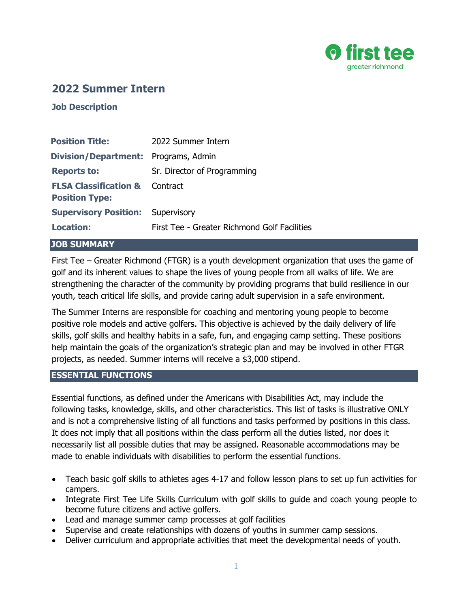

# **2022 Summer Intern**

**Job Description**

| <b>Position Title:</b>                                             | 2022 Summer Intern                           |
|--------------------------------------------------------------------|----------------------------------------------|
| <b>Division/Department:</b> Programs, Admin                        |                                              |
| <b>Reports to:</b>                                                 | Sr. Director of Programming                  |
| <b>FLSA Classification &amp; Contract</b><br><b>Position Type:</b> |                                              |
| <b>Supervisory Position: Supervisory</b>                           |                                              |
| <b>Location:</b>                                                   | First Tee - Greater Richmond Golf Facilities |

#### **JOB SUMMARY**

First Tee – Greater Richmond (FTGR) is a youth development organization that uses the game of golf and its inherent values to shape the lives of young people from all walks of life. We are strengthening the character of the community by providing programs that build resilience in our youth, teach critical life skills, and provide caring adult supervision in a safe environment.

The Summer Interns are responsible for coaching and mentoring young people to become positive role models and active golfers. This objective is achieved by the daily delivery of life skills, golf skills and healthy habits in a safe, fun, and engaging camp setting. These positions help maintain the goals of the organization's strategic plan and may be involved in other FTGR projects, as needed. Summer interns will receive a \$3,000 stipend.

#### **ESSENTIAL FUNCTIONS**

Essential functions, as defined under the Americans with Disabilities Act, may include the following tasks, knowledge, skills, and other characteristics. This list of tasks is illustrative ONLY and is not a comprehensive listing of all functions and tasks performed by positions in this class. It does not imply that all positions within the class perform all the duties listed, nor does it necessarily list all possible duties that may be assigned. Reasonable accommodations may be made to enable individuals with disabilities to perform the essential functions.

- Teach basic golf skills to athletes ages 4-17 and follow lesson plans to set up fun activities for campers.
- Integrate First Tee Life Skills Curriculum with golf skills to guide and coach young people to become future citizens and active golfers.
- Lead and manage summer camp processes at golf facilities
- Supervise and create relationships with dozens of youths in summer camp sessions.
- Deliver curriculum and appropriate activities that meet the developmental needs of youth.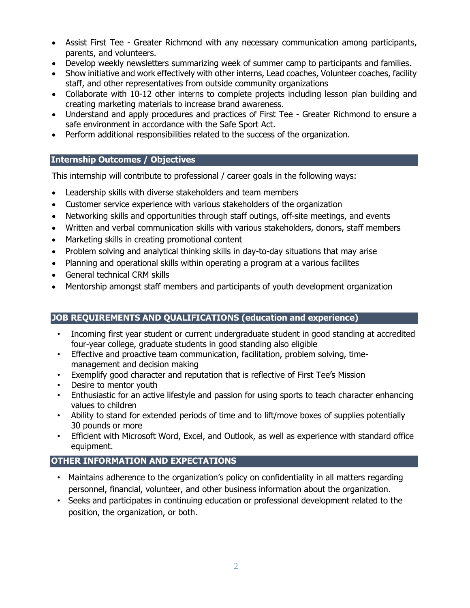- Assist First Tee Greater Richmond with any necessary communication among participants, parents, and volunteers.
- Develop weekly newsletters summarizing week of summer camp to participants and families.
- Show initiative and work effectively with other interns, Lead coaches, Volunteer coaches, facility staff, and other representatives from outside community organizations
- Collaborate with 10-12 other interns to complete projects including lesson plan building and creating marketing materials to increase brand awareness.
- Understand and apply procedures and practices of First Tee Greater Richmond to ensure a safe environment in accordance with the Safe Sport Act.
- Perform additional responsibilities related to the success of the organization.

# **Internship Outcomes / Objectives**

This internship will contribute to professional / career goals in the following ways:

- Leadership skills with diverse stakeholders and team members
- Customer service experience with various stakeholders of the organization
- Networking skills and opportunities through staff outings, off-site meetings, and events
- Written and verbal communication skills with various stakeholders, donors, staff members
- Marketing skills in creating promotional content
- Problem solving and analytical thinking skills in day-to-day situations that may arise
- Planning and operational skills within operating a program at a various facilites
- General technical CRM skills
- Mentorship amongst staff members and participants of youth development organization

# **JOB REQUIREMENTS AND QUALIFICATIONS (education and experience)**

- Incoming first year student or current undergraduate student in good standing at accredited four-year college, graduate students in good standing also eligible
- Effective and proactive team communication, facilitation, problem solving, timemanagement and decision making
- Exemplify good character and reputation that is reflective of First Tee's Mission
- Desire to mentor youth
- Enthusiastic for an active lifestyle and passion for using sports to teach character enhancing values to children
- Ability to stand for extended periods of time and to lift/move boxes of supplies potentially 30 pounds or more
- Efficient with Microsoft Word, Excel, and Outlook, as well as experience with standard office equipment.

# **OTHER INFORMATION AND EXPECTATIONS**

- Maintains adherence to the organization's policy on confidentiality in all matters regarding personnel, financial, volunteer, and other business information about the organization.
- Seeks and participates in continuing education or professional development related to the position, the organization, or both.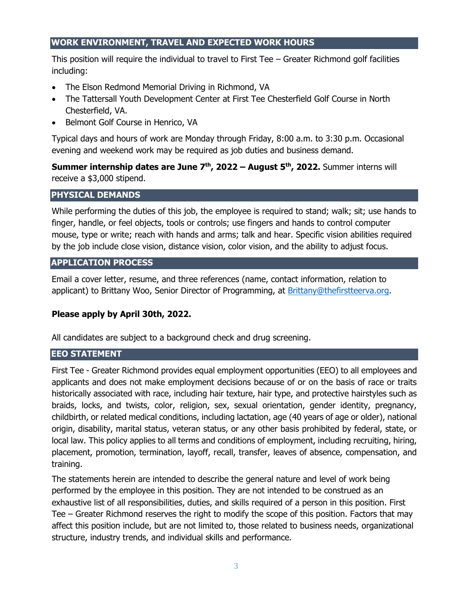#### **WORK ENVIRONMENT, TRAVEL AND EXPECTED WORK HOURS**

This position will require the individual to travel to First Tee – Greater Richmond golf facilities including:

- The Elson Redmond Memorial Driving in Richmond, VA
- The Tattersall Youth Development Center at First Tee Chesterfield Golf Course in North Chesterfield, VA.
- Belmont Golf Course in Henrico, VA

Typical days and hours of work are Monday through Friday, 8:00 a.m. to 3:30 p.m. Occasional evening and weekend work may be required as job duties and business demand.

**Summer internship dates are June 7 th, 2022 – August 5 th, 2022.** Summer interns will receive a \$3,000 stipend.

## **PHYSICAL DEMANDS**

While performing the duties of this job, the employee is required to stand; walk; sit; use hands to finger, handle, or feel objects, tools or controls; use fingers and hands to control computer mouse, type or write; reach with hands and arms; talk and hear. Specific vision abilities required by the job include close vision, distance vision, color vision, and the ability to adjust focus.

## **APPLICATION PROCESS**

Email a cover letter, resume, and three references (name, contact information, relation to applicant) to Brittany Woo, Senior Director of Programming, at [Brittany@thefirstteerva.org.](mailto:Brittany@thefirstteerva.org)

# **Please apply by April 30th, 2022.**

All candidates are subject to a background check and drug screening.

#### **EEO STATEMENT**

First Tee - Greater Richmond provides equal employment opportunities (EEO) to all employees and applicants and does not make employment decisions because of or on the basis of race or traits historically associated with race, including hair texture, hair type, and protective hairstyles such as braids, locks, and twists, color, religion, sex, sexual orientation, gender identity, pregnancy, childbirth, or related medical conditions, including lactation, age (40 years of age or older), national origin, disability, marital status, veteran status, or any other basis prohibited by federal, state, or local law. This policy applies to all terms and conditions of employment, including recruiting, hiring, placement, promotion, termination, layoff, recall, transfer, leaves of absence, compensation, and training.

The statements herein are intended to describe the general nature and level of work being performed by the employee in this position. They are not intended to be construed as an exhaustive list of all responsibilities, duties, and skills required of a person in this position. First Tee – Greater Richmond reserves the right to modify the scope of this position. Factors that may affect this position include, but are not limited to, those related to business needs, organizational structure, industry trends, and individual skills and performance.